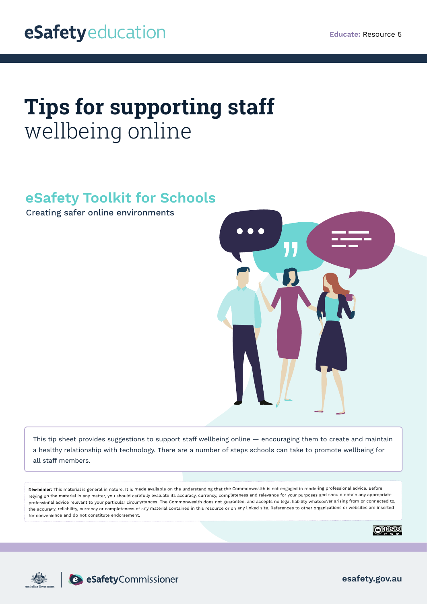# **Tips for supporting staff**  wellbeing online

## **eSafety Toolkit for Schools**

Creating safer online environments



This tip sheet provides suggestions to support staff wellbeing online — encouraging them to create and maintain a healthy relationship with technology. There are a number of steps schools can take to promote wellbeing for all staff members.

**Disclaimer:** This material is general in nature. It is made available on the understanding that the Commonwealth is not engaged in rendering professional advice. Before relying on the material in any matter, you should carefully evaluate its accuracy, currency, completeness and relevance for your purposes and should obtain any appropriate professional advice relevant to your particular circumstances. The Commonwealth does not guarantee, and accepts no legal liability whatsoever arising from or connected to, the accuracy, reliability, currency or completeness of any material contained in this resource or on any linked site. References to other organisations or websites are inserted for convenience and do not constitute endorsement.